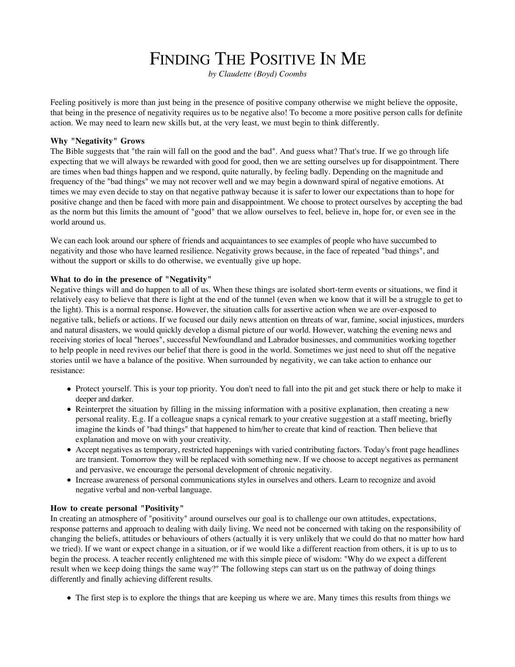# FINDING THE POSITIVE IN ME

*by Claudette (Boyd) Coombs*

Feeling positively is more than just being in the presence of positive company otherwise we might believe the opposite, that being in the presence of negativity requires us to be negative also! To become a more positive person calls for definite action. We may need to learn new skills but, at the very least, we must begin to think differently.

## **Why "Negativity" Grows**

The Bible suggests that "the rain will fall on the good and the bad". And guess what? That's true. If we go through life expecting that we will always be rewarded with good for good, then we are setting ourselves up for disappointment. There are times when bad things happen and we respond, quite naturally, by feeling badly. Depending on the magnitude and frequency of the "bad things" we may not recover well and we may begin a downward spiral of negative emotions. At times we may even decide to stay on that negative pathway because it is safer to lower our expectations than to hope for positive change and then be faced with more pain and disappointment. We choose to protect ourselves by accepting the bad as the norm but this limits the amount of "good" that we allow ourselves to feel, believe in, hope for, or even see in the world around us.

We can each look around our sphere of friends and acquaintances to see examples of people who have succumbed to negativity and those who have learned resilience. Negativity grows because, in the face of repeated "bad things", and without the support or skills to do otherwise, we eventually give up hope.

## **What to do in the presence of "Negativity"**

Negative things will and do happen to all of us. When these things are isolated short-term events or situations, we find it relatively easy to believe that there is light at the end of the tunnel (even when we know that it will be a struggle to get to the light). This is a normal response. However, the situation calls for assertive action when we are over-exposed to negative talk, beliefs or actions. If we focused our daily news attention on threats of war, famine, social injustices, murders and natural disasters, we would quickly develop a dismal picture of our world. However, watching the evening news and receiving stories of local "heroes", successful Newfoundland and Labrador businesses, and communities working together to help people in need revives our belief that there is good in the world. Sometimes we just need to shut off the negative stories until we have a balance of the positive. When surrounded by negativity, we can take action to enhance our resistance:

- Protect yourself. This is your top priority. You don't need to fall into the pit and get stuck there or help to make it deeper and darker.
- Reinterpret the situation by filling in the missing information with a positive explanation, then creating a new personal reality. E.g. If a colleague snaps a cynical remark to your creative suggestion at a staff meeting, briefly imagine the kinds of "bad things" that happened to him/her to create that kind of reaction. Then believe that explanation and move on with your creativity.
- Accept negatives as temporary, restricted happenings with varied contributing factors. Today's front page headlines are transient. Tomorrow they will be replaced with something new. If we choose to accept negatives as permanent and pervasive, we encourage the personal development of chronic negativity.
- Increase awareness of personal communications styles in ourselves and others. Learn to recognize and avoid negative verbal and non-verbal language.

### **How to create personal "Positivity"**

In creating an atmosphere of "positivity" around ourselves our goal is to challenge our own attitudes, expectations, response patterns and approach to dealing with daily living. We need not be concerned with taking on the responsibility of changing the beliefs, attitudes or behaviours of others (actually it is very unlikely that we could do that no matter how hard we tried). If we want or expect change in a situation, or if we would like a different reaction from others, it is up to us to begin the process. A teacher recently enlightened me with this simple piece of wisdom: "Why do we expect a different result when we keep doing things the same way?" The following steps can start us on the pathway of doing things differently and finally achieving different results.

The first step is to explore the things that are keeping us where we are. Many times this results from things we